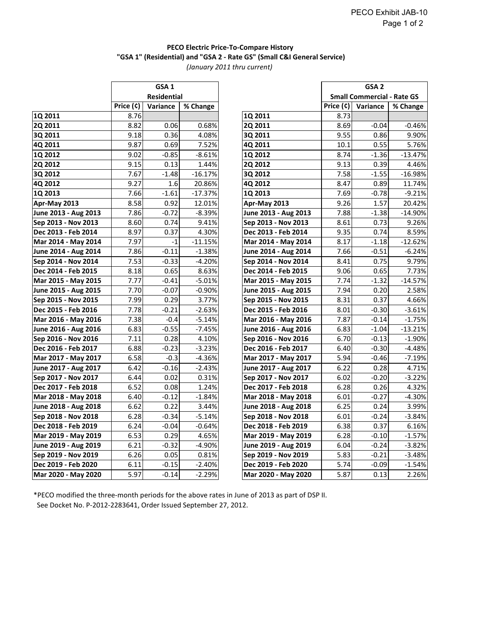## **PECO Electric Price-To-Compare History** *(January 2011 thru current)*  **"GSA 1" (Residential) and "GSA 2 - Rate GS" (Small C&I General Service)**

|                      | GSA <sub>1</sub><br>Residential |          |           |                      | GSA <sub>2</sub><br><b>Small Commercial - Rate GS</b> |          |           |
|----------------------|---------------------------------|----------|-----------|----------------------|-------------------------------------------------------|----------|-----------|
|                      |                                 |          |           |                      |                                                       |          |           |
|                      | Price (¢)                       | Variance | % Change  |                      | Price $(c)$                                           | Variance | % Change  |
| 1Q 2011              | 8.76                            |          |           | 1Q 2011              | 8.73                                                  |          |           |
| <b>2Q 2011</b>       | 8.82                            | 0.06     | 0.68%     | 2Q 2011              | 8.69                                                  | $-0.04$  | $-0.46%$  |
| 3Q 2011              | 9.18                            | 0.36     | 4.08%     | 3Q 2011              | 9.55                                                  | 0.86     | 9.90%     |
| 4Q 2011              | 9.87                            | 0.69     | 7.52%     | 4Q 2011              | 10.1                                                  | 0.55     | 5.76%     |
| 1Q 2012              | 9.02                            | $-0.85$  | $-8.61%$  | 1Q 2012              | 8.74                                                  | $-1.36$  | $-13.47%$ |
| <b>2Q 2012</b>       | 9.15                            | 0.13     | 1.44%     | 2Q 2012              | 9.13                                                  | 0.39     | 4.46%     |
| 3Q 2012              | 7.67                            | $-1.48$  | $-16.17%$ | 3Q 2012              | 7.58                                                  | $-1.55$  | $-16.98%$ |
| 4Q 2012              | 9.27                            | 1.6      | 20.86%    | 4Q 2012              | 8.47                                                  | 0.89     | 11.74%    |
| 1Q 2013              | 7.66                            | $-1.61$  | $-17.37%$ | 1Q 2013              | 7.69                                                  | $-0.78$  | $-9.21%$  |
| Apr-May 2013         | 8.58                            | 0.92     | 12.01%    | Apr-May 2013         | 9.26                                                  | 1.57     | 20.42%    |
| June 2013 - Aug 2013 | 7.86                            | $-0.72$  | $-8.39%$  | June 2013 - Aug 2013 | 7.88                                                  | $-1.38$  | $-14.90%$ |
| Sep 2013 - Nov 2013  | 8.60                            | 0.74     | 9.41%     | Sep 2013 - Nov 2013  | 8.61                                                  | 0.73     | 9.26%     |
| Dec 2013 - Feb 2014  | 8.97                            | 0.37     | 4.30%     | Dec 2013 - Feb 2014  | 9.35                                                  | 0.74     | 8.59%     |
| Mar 2014 - May 2014  | 7.97                            | $-1$     | $-11.15%$ | Mar 2014 - May 2014  | 8.17                                                  | $-1.18$  | $-12.62%$ |
| June 2014 - Aug 2014 | 7.86                            | $-0.11$  | $-1.38%$  | June 2014 - Aug 2014 | 7.66                                                  | $-0.51$  | $-6.24%$  |
| Sep 2014 - Nov 2014  | 7.53                            | $-0.33$  | $-4.20%$  | Sep 2014 - Nov 2014  | 8.41                                                  | 0.75     | 9.79%     |
| Dec 2014 - Feb 2015  | 8.18                            | 0.65     | 8.63%     | Dec 2014 - Feb 2015  | 9.06                                                  | 0.65     | 7.73%     |
| Mar 2015 - May 2015  | 7.77                            | $-0.41$  | $-5.01%$  | Mar 2015 - May 2015  | 7.74                                                  | $-1.32$  | $-14.57%$ |
| June 2015 - Aug 2015 | 7.70                            | $-0.07$  | -0.90%    | June 2015 - Aug 2015 | 7.94                                                  | 0.20     | 2.58%     |
| Sep 2015 - Nov 2015  | 7.99                            | 0.29     | 3.77%     | Sep 2015 - Nov 2015  | 8.31                                                  | 0.37     | 4.66%     |
| Dec 2015 - Feb 2016  | 7.78                            | $-0.21$  | $-2.63%$  | Dec 2015 - Feb 2016  | 8.01                                                  | $-0.30$  | $-3.61%$  |
| Mar 2016 - May 2016  | 7.38                            | $-0.4$   | $-5.14%$  | Mar 2016 - May 2016  | 7.87                                                  | $-0.14$  | $-1.75%$  |
| June 2016 - Aug 2016 | 6.83                            | $-0.55$  | $-7.45%$  | June 2016 - Aug 2016 | 6.83                                                  | $-1.04$  | $-13.21%$ |
| Sep 2016 - Nov 2016  | 7.11                            | 0.28     | 4.10%     | Sep 2016 - Nov 2016  | 6.70                                                  | $-0.13$  | $-1.90%$  |
| Dec 2016 - Feb 2017  | 6.88                            | $-0.23$  | -3.23%    | Dec 2016 - Feb 2017  | 6.40                                                  | $-0.30$  | $-4.48%$  |
| Mar 2017 - May 2017  | 6.58                            | $-0.3$   | $-4.36%$  | Mar 2017 - May 2017  | 5.94                                                  | $-0.46$  | $-7.19%$  |
| June 2017 - Aug 2017 | 6.42                            | $-0.16$  | $-2.43%$  | June 2017 - Aug 2017 | 6.22                                                  | 0.28     | 4.71%     |
| Sep 2017 - Nov 2017  | 6.44                            | 0.02     | 0.31%     | Sep 2017 - Nov 2017  | 6.02                                                  | $-0.20$  | $-3.22%$  |
| Dec 2017 - Feb 2018  | 6.52                            | 0.08     | 1.24%     | Dec 2017 - Feb 2018  | 6.28                                                  | 0.26     | 4.32%     |
| Mar 2018 - May 2018  | 6.40                            | $-0.12$  | $-1.84%$  | Mar 2018 - May 2018  | 6.01                                                  | $-0.27$  | $-4.30%$  |
| June 2018 - Aug 2018 | 6.62                            | 0.22     | 3.44%     | June 2018 - Aug 2018 | 6.25                                                  | 0.24     | 3.99%     |
| Sep 2018 - Nov 2018  | 6.28                            | $-0.34$  | $-5.14%$  | Sep 2018 - Nov 2018  | 6.01                                                  | $-0.24$  | $-3.84%$  |
| Dec 2018 - Feb 2019  | 6.24                            | $-0.04$  | $-0.64%$  | Dec 2018 - Feb 2019  | 6.38                                                  | 0.37     | 6.16%     |
| Mar 2019 - May 2019  | 6.53                            | 0.29     | 4.65%     | Mar 2019 - May 2019  | 6.28                                                  | $-0.10$  | $-1.57%$  |
| June 2019 - Aug 2019 | 6.21                            | $-0.32$  | $-4.90%$  | June 2019 - Aug 2019 | 6.04                                                  | $-0.24$  | $-3.82%$  |
| Sep 2019 - Nov 2019  | 6.26                            | 0.05     | 0.81%     | Sep 2019 - Nov 2019  | 5.83                                                  | $-0.21$  | $-3.48%$  |
| Dec 2019 - Feb 2020  | 6.11                            | $-0.15$  | $-2.40%$  | Dec 2019 - Feb 2020  | 5.74                                                  | $-0.09$  | $-1.54%$  |
| Mar 2020 - May 2020  | 5.97                            | $-0.14$  | $-2.29%$  | Mar 2020 - May 2020  | 5.87                                                  | 0.13     | 2.26%     |

| GSA <sub>1</sub><br><b>Residential</b> |          |           |                      | GSA <sub>2</sub>                  |          |           |  |
|----------------------------------------|----------|-----------|----------------------|-----------------------------------|----------|-----------|--|
|                                        |          |           |                      | <b>Small Commercial - Rate GS</b> |          |           |  |
| $\overline{\mathsf{Price}}$ (¢)        | Variance | % Change  |                      | Price $(c)$                       | Variance | % Change  |  |
| 8.76                                   |          |           | 1Q 2011              | 8.73                              |          |           |  |
| 8.82                                   | 0.06     | 0.68%     | 2Q 2011              | 8.69                              | $-0.04$  | $-0.46%$  |  |
| 9.18                                   | 0.36     | 4.08%     | 3Q 2011              | 9.55                              | 0.86     | 9.90%     |  |
| 9.87                                   | 0.69     | 7.52%     | 4Q 2011              | 10.1                              | 0.55     | 5.76%     |  |
| 9.02                                   | $-0.85$  | $-8.61%$  | 1Q 2012              | 8.74                              | $-1.36$  | $-13.47%$ |  |
| 9.15                                   | 0.13     | 1.44%     | <b>2Q 2012</b>       | 9.13                              | 0.39     | 4.46%     |  |
| 7.67                                   | $-1.48$  | $-16.17%$ | 3Q 2012              | 7.58                              | $-1.55$  | $-16.98%$ |  |
| 9.27                                   | 1.6      | 20.86%    | 4Q 2012              | 8.47                              | 0.89     | 11.74%    |  |
| 7.66                                   | $-1.61$  | $-17.37%$ | 1Q 2013              | 7.69                              | $-0.78$  | $-9.21%$  |  |
| 8.58                                   | 0.92     | 12.01%    | Apr-May 2013         | 9.26                              | 1.57     | 20.42%    |  |
| 7.86                                   | $-0.72$  | $-8.39%$  | June 2013 - Aug 2013 | 7.88                              | $-1.38$  | $-14.90%$ |  |
| 8.60                                   | 0.74     | 9.41%     | Sep 2013 - Nov 2013  | 8.61                              | 0.73     | 9.26%     |  |
| 8.97                                   | 0.37     | 4.30%     | Dec 2013 - Feb 2014  | 9.35                              | 0.74     | 8.59%     |  |
| 7.97                                   | $-1$     | $-11.15%$ | Mar 2014 - May 2014  | 8.17                              | $-1.18$  | $-12.62%$ |  |
| 7.86                                   | $-0.11$  | $-1.38%$  | June 2014 - Aug 2014 | 7.66                              | $-0.51$  | $-6.24%$  |  |
| 7.53                                   | $-0.33$  | $-4.20%$  | Sep 2014 - Nov 2014  | 8.41                              | 0.75     | 9.79%     |  |
| 8.18                                   | 0.65     | 8.63%     | Dec 2014 - Feb 2015  | 9.06                              | 0.65     | 7.73%     |  |
| 7.77                                   | $-0.41$  | $-5.01%$  | Mar 2015 - May 2015  | 7.74                              | $-1.32$  | $-14.57%$ |  |
| 7.70                                   | $-0.07$  | $-0.90%$  | June 2015 - Aug 2015 | 7.94                              | 0.20     | 2.58%     |  |
| 7.99                                   | 0.29     | 3.77%     | Sep 2015 - Nov 2015  | 8.31                              | 0.37     | 4.66%     |  |
| 7.78                                   | $-0.21$  | $-2.63%$  | Dec 2015 - Feb 2016  | 8.01                              | $-0.30$  | $-3.61%$  |  |
| 7.38                                   | $-0.4$   | $-5.14%$  | Mar 2016 - May 2016  | 7.87                              | $-0.14$  | $-1.75%$  |  |
| 6.83                                   | $-0.55$  | $-7.45%$  | June 2016 - Aug 2016 | 6.83                              | $-1.04$  | $-13.21%$ |  |
| 7.11                                   | 0.28     | 4.10%     | Sep 2016 - Nov 2016  | 6.70                              | $-0.13$  | $-1.90%$  |  |
| 6.88                                   | $-0.23$  | $-3.23%$  | Dec 2016 - Feb 2017  | 6.40                              | $-0.30$  | $-4.48%$  |  |
| 6.58                                   | $-0.3$   | $-4.36%$  | Mar 2017 - May 2017  | 5.94                              | $-0.46$  | $-7.19%$  |  |
| 6.42                                   | $-0.16$  | $-2.43%$  | June 2017 - Aug 2017 | 6.22                              | 0.28     | 4.71%     |  |
| 6.44                                   | 0.02     | 0.31%     | Sep 2017 - Nov 2017  | 6.02                              | $-0.20$  | $-3.22%$  |  |
| 6.52                                   | 0.08     | 1.24%     | Dec 2017 - Feb 2018  | 6.28                              | 0.26     | 4.32%     |  |
| 6.40                                   | $-0.12$  | $-1.84%$  | Mar 2018 - May 2018  | 6.01                              | $-0.27$  | $-4.30%$  |  |
| 6.62                                   | 0.22     | 3.44%     | June 2018 - Aug 2018 | 6.25                              | 0.24     | 3.99%     |  |
| 6.28                                   | $-0.34$  | $-5.14%$  | Sep 2018 - Nov 2018  | 6.01                              | $-0.24$  | $-3.84%$  |  |
| 6.24                                   | $-0.04$  | $-0.64%$  | Dec 2018 - Feb 2019  | 6.38                              | 0.37     | 6.16%     |  |
| 6.53                                   | 0.29     | 4.65%     | Mar 2019 - May 2019  | 6.28                              | $-0.10$  | $-1.57%$  |  |
| 6.21                                   | $-0.32$  | $-4.90%$  | June 2019 - Aug 2019 | 6.04                              | $-0.24$  | $-3.82%$  |  |
| 6.26                                   | 0.05     | 0.81%     | Sep 2019 - Nov 2019  | 5.83                              | $-0.21$  | $-3.48%$  |  |
| 6.11                                   | $-0.15$  | $-2.40%$  | Dec 2019 - Feb 2020  | 5.74                              | $-0.09$  | $-1.54%$  |  |
| 5.97                                   | $-0.14$  | $-2.29%$  | Mar 2020 - May 2020  | 5.87                              | 0.13     | 2.26%     |  |

 See Docket No. P-2012-2283641, Order Issued September 27, 2012. \*PECO modified the three-month periods for the above rates in June of 2013 as part of DSP II.